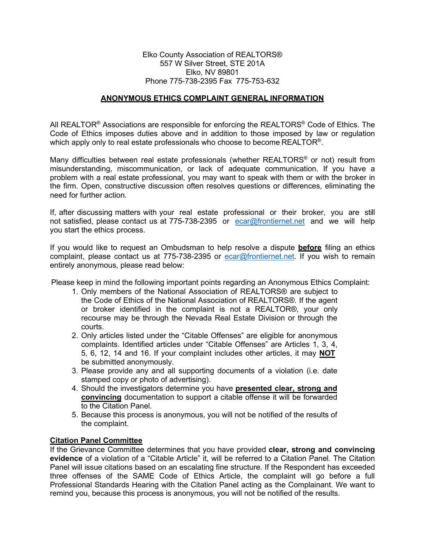## Elko County Association of REALTORS® 557 W Silver Street, STE 201A Elko, NV 89801 Phone 775-738-2395 Fax 775-753-632

# **ANONYMOUS ETHICS COMPLAINT GENERAL INFORMATION**

All REALTOR<sup>®</sup> Associations are responsible for enforcing the REALTORS<sup>®</sup> Code of Ethics. The Code of Ethics imposes duties above and in addition to those imposed by law or regulation which apply only to real estate professionals who choose to become REALTOR<sup>®</sup>.

Many difficulties between real estate professionals (whether REALTORS® or not) result from misunderstanding, miscommunication, or lack of adequate communication. If you have a problem with a real estate professional, you may want to speak with them or with the broker in the firm. Open, constructive discussion often resolves questions or differences, eliminating the need for further action.

If, after discussing matters with your real estate professional or their broker, you are still not satisfied, please contact us at 775-738-2395 or [ecar@frontiernet.net](mailto:ecar@frontiernet.net) and we will help you start the ethics process.

If you would like to request an Ombudsman to help resolve a dispute **before** filing an ethics complaint, please contact us at 775-738-2395 or [ecar@frontiernet.net.](mailto:ecar@frontiernet.net) If you wish to remain entirely anonymous, please read below:

Please keep in mind the following important points regarding an Anonymous Ethics Complaint:

- 1. Only members of the National Association of REALTORS® are subject to the Code of Ethics of the National Association of REALTORS®. If the agent or broker identified in the complaint is not a REALTOR®, your only recourse may be through the Nevada Real Estate Division or through the courts.
- 2. Only articles listed under the "Citable Offenses" are eligible for anonymous complaints. Identified articles under "Citable Offenses" are Articles 1, 3, 4, 5, 6, 12, 14 and 16. If your complaint includes other articles, it may **NOT** be submitted anonymously.
- 3. Please provide any and all supporting documents of a violation (i.e. date stamped copy or photo of advertising).
- 4. Should the investigators determine you have **presented clear, strong and convincing** documentation to support a citable offense it will be forwarded to the Citation Panel.
- 5. Because this process is anonymous, you will not be notified of the results of the complaint.

# **Citation Panel Committee**

If the Grievance Committee determines that you have provided **clear, strong and convincing evidence** of a violation of a "Citable Article" it, will be referred to a Citation Panel. The Citation Panel will issue citations based on an escalating fine structure. If the Respondent has exceeded three offenses of the SAME Code of Ethics Article, the complaint will go before a full Professional Standards Hearing with the Citation Panel acting as the Complainant. We want to remind you, because this process is anonymous, you will not be notified of the results.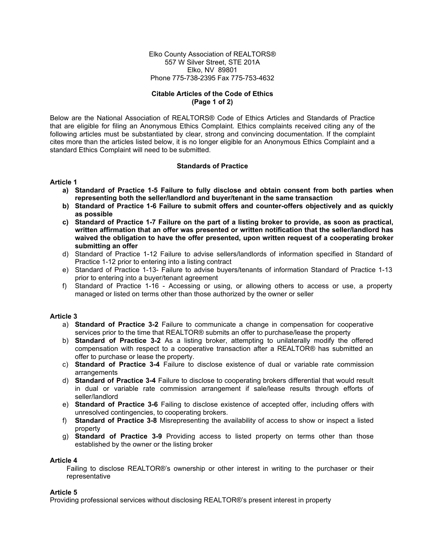Elko County Association of REALTORS® 557 W Silver Street, STE 201A Elko, NV 89801 Phone 775-738-2395 Fax 775-753-4632

## **Citable Articles of the Code of Ethics (Page 1 of 2)**

Below are the National Association of REALTORS® Code of Ethics Articles and Standards of Practice that are eligible for filing an Anonymous Ethics Complaint. Ethics complaints received citing any of the following articles must be substantiated by clear, strong and convincing documentation. If the complaint cites more than the articles listed below, it is no longer eligible for an Anonymous Ethics Complaint and a standard Ethics Complaint will need to be submitted.

## **Standards of Practice**

#### **Article 1**

- **a) Standard of Practice 1-5 Failure to fully disclose and obtain consent from both parties when representing both the seller/landlord and buyer/tenant in the same transaction**
- **b) Standard of Practice 1-6 Failure to submit offers and counter-offers objectively and as quickly as possible**
- **c) Standard of Practice 1-7 Failure on the part of a listing broker to provide, as soon as practical, written affirmation that an offer was presented or written notification that the seller/landlord has waived the obligation to have the offer presented, upon written request of a cooperating broker submitting an offer**
- d) Standard of Practice 1-12 Failure to advise sellers/landlords of information specified in Standard of Practice 1-12 prior to entering into a listing contract
- e) Standard of Practice 1-13- Failure to advise buyers/tenants of information Standard of Practice 1-13 prior to entering into a buyer/tenant agreement
- f) Standard of Practice 1-16 Accessing or using, or allowing others to access or use, a property managed or listed on terms other than those authorized by the owner or seller

#### **Article 3**

- a) **Standard of Practice 3-2** Failure to communicate a change in compensation for cooperative services prior to the time that REALTOR® submits an offer to purchase/lease the property
- b) **Standard of Practice 3-2** As a listing broker, attempting to unilaterally modify the offered compensation with respect to a cooperative transaction after a REALTOR® has submitted an offer to purchase or lease the property.
- c) **Standard of Practice 3-4** Failure to disclose existence of dual or variable rate commission arrangements
- d) **Standard of Practice 3-4** Failure to disclose to cooperating brokers differential that would result in dual or variable rate commission arrangement if sale/lease results through efforts of seller/landlord
- e) **Standard of Practice 3-6** Failing to disclose existence of accepted offer, including offers with unresolved contingencies, to cooperating brokers.
- f) **Standard of Practice 3-8** Misrepresenting the availability of access to show or inspect a listed property
- g) **Standard of Practice 3-9** Providing access to listed property on terms other than those established by the owner or the listing broker

#### **Article 4**

Failing to disclose REALTOR®'s ownership or other interest in writing to the purchaser or their representative

#### **Article 5**

Providing professional services without disclosing REALTOR®'s present interest in property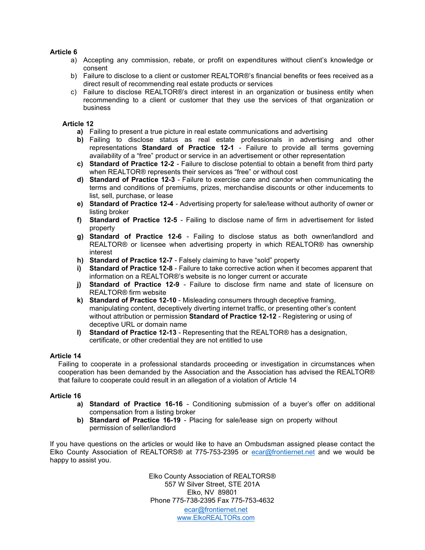## **Article 6**

- a) Accepting any commission, rebate, or profit on expenditures without client's knowledge or consent
- b) Failure to disclose to a client or customer REALTOR®'s financial benefits or fees received as a direct result of recommending real estate products or services
- c) Failure to disclose REALTOR®'s direct interest in an organization or business entity when recommending to a client or customer that they use the services of that organization or business

## **Article 12**

- **a)** Failing to present a true picture in real estate communications and advertising
- **b)** Failing to disclose status as real estate professionals in advertising and other representations **Standard of Practice 12-1** - Failure to provide all terms governing availability of a "free" product or service in an advertisement or other representation
- **c) Standard of Practice 12-2**  Failure to disclose potential to obtain a benefit from third party when REALTOR® represents their services as "free" or without cost
- **d) Standard of Practice 12-3**  Failure to exercise care and candor when communicating the terms and conditions of premiums, prizes, merchandise discounts or other inducements to list, sell, purchase, or lease
- **e) Standard of Practice 12-4**  Advertising property for sale/lease without authority of owner or listing broker
- **f) Standard of Practice 12-5**  Failing to disclose name of firm in advertisement for listed property
- **g) Standard of Practice 12-6**  Failing to disclose status as both owner/landlord and REALTOR® or licensee when advertising property in which REALTOR® has ownership interest
- **h) Standard of Practice 12-7**  Falsely claiming to have "sold" property
- **i) Standard of Practice 12-8**  Failure to take corrective action when it becomes apparent that information on a REALTOR®'s website is no longer current or accurate
- **j) Standard of Practice 12-9**  Failure to disclose firm name and state of licensure on REALTOR® firm website
- **k) Standard of Practice 12-10**  Misleading consumers through deceptive framing, manipulating content, deceptively diverting internet traffic, or presenting other's content without attribution or permission **Standard of Practice 12-12** - Registering or using of deceptive URL or domain name
- **l) Standard of Practice 12-13**  Representing that the REALTOR® has a designation, certificate, or other credential they are not entitled to use

#### **Article 14**

Failing to cooperate in a professional standards proceeding or investigation in circumstances when cooperation has been demanded by the Association and the Association has advised the REALTOR® that failure to cooperate could result in an allegation of a violation of Article 14

#### **Article 16**

- **a) Standard of Practice 16-16**  Conditioning submission of a buyer's offer on additional compensation from a listing broker
- **b) Standard of Practice 16-19**  Placing for sale/lease sign on property without permission of seller/landlord

If you have questions on the articles or would like to have an Ombudsman assigned please contact the Elko County Association of REALTORS® at 775-753-2395 or [ecar@frontiernet.net](mailto:ecar@frontiernet.net) and we would be happy to assist you.

> Elko County Association of REALTORS® 557 W Silver Street, STE 201A Elko, NV 89801 Phone 775-738-2395 Fax 775-753-4632 [ecar@frontiernet.net](mailto:ecar@frontiernet.net) [www.ElkoREALTORs.com](http://www.elkorealtors.com/)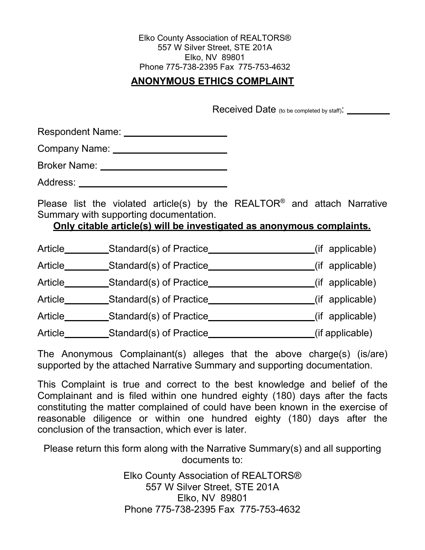Elko County Association of REALTORS® 557 W Silver Street, STE 201A Elko, NV 89801 Phone 775-738-2395 Fax 775-753-4632

# **ANONYMOUS ETHICS COMPLAINT**

Received Date (to be completed by staff):

Respondent Name: \_\_\_\_\_\_\_\_\_\_\_\_\_\_\_\_\_\_\_\_\_\_\_

Company Name:

Broker Name:

Address:

Please list the violated article(s) by the REALTOR® and attach Narrative Summary with supporting documentation.

# **Only citable article(s) will be investigated as anonymous complaints.**

| Article | Standard(s) of Practice | (if applicable) |
|---------|-------------------------|-----------------|
| Article | Standard(s) of Practice | (if applicable) |
| Article | Standard(s) of Practice | (if applicable) |
| Article | Standard(s) of Practice | (if applicable) |
| Article | Standard(s) of Practice | (if applicable) |
| Article | Standard(s) of Practice | (if applicable) |

The Anonymous Complainant(s) alleges that the above charge(s) (is/are) supported by the attached Narrative Summary and supporting documentation.

This Complaint is true and correct to the best knowledge and belief of the Complainant and is filed within one hundred eighty (180) days after the facts constituting the matter complained of could have been known in the exercise of reasonable diligence or within one hundred eighty (180) days after the conclusion of the transaction, which ever is later.

Please return this form along with the Narrative Summary(s) and all supporting documents to:

> Elko County Association of REALTORS® 557 W Silver Street, STE 201A Elko, NV 89801 Phone 775-738-2395 Fax 775-753-4632